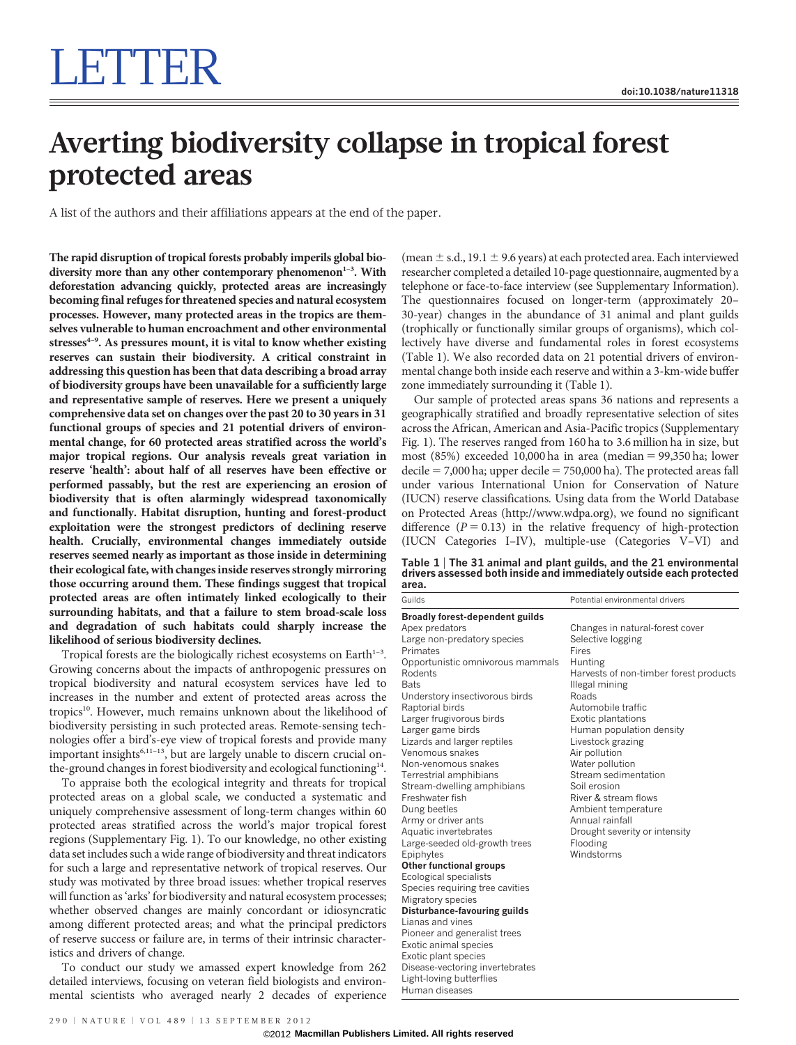# Averting biodiversity collapse in tropical forest protected areas

A list of the authors and their affiliations appears at the end of the paper.

The rapid disruption of tropical forests probably imperils global biodiversity more than any other contemporary phenomenon<sup>1-3</sup>. With deforestation advancing quickly, protected areas are increasingly becoming final refuges for threatened species and natural ecosystem processes. However, many protected areas in the tropics are themselves vulnerable to human encroachment and other environmental stresses $4-9$ . As pressures mount, it is vital to know whether existing reserves can sustain their biodiversity. A critical constraint in addressing this question has been that data describing a broad array of biodiversity groups have been unavailable for a sufficiently large and representative sample of reserves. Here we present a uniquely comprehensive data set on changes over the past 20 to 30 years in 31 functional groups of species and 21 potential drivers of environmental change, for 60 protected areas stratified across the world's major tropical regions. Our analysis reveals great variation in reserve 'health': about half of all reserves have been effective or performed passably, but the rest are experiencing an erosion of biodiversity that is often alarmingly widespread taxonomically and functionally. Habitat disruption, hunting and forest-product exploitation were the strongest predictors of declining reserve health. Crucially, environmental changes immediately outside reserves seemed nearly as important as those inside in determining their ecological fate, with changes inside reserves strongly mirroring those occurring around them. These findings suggest that tropical protected areas are often intimately linked ecologically to their surrounding habitats, and that a failure to stem broad-scale loss and degradation of such habitats could sharply increase the likelihood of serious biodiversity declines.

Tropical forests are the biologically richest ecosystems on Earth $1-3$ . Growing concerns about the impacts of anthropogenic pressures on tropical biodiversity and natural ecosystem services have led to increases in the number and extent of protected areas across the tropics<sup>10</sup>. However, much remains unknown about the likelihood of biodiversity persisting in such protected areas. Remote-sensing technologies offer a bird's-eye view of tropical forests and provide many important insights<sup>6,11-13</sup>, but are largely unable to discern crucial onthe-ground changes in forest biodiversity and ecological functioning<sup>14</sup>.

To appraise both the ecological integrity and threats for tropical protected areas on a global scale, we conducted a systematic and uniquely comprehensive assessment of long-term changes within 60 protected areas stratified across the world's major tropical forest regions (Supplementary Fig. 1). To our knowledge, no other existing data set includes such a wide range of biodiversity and threat indicators for such a large and representative network of tropical reserves. Our study was motivated by three broad issues: whether tropical reserves will function as 'arks' for biodiversity and natural ecosystem processes; whether observed changes are mainly concordant or idiosyncratic among different protected areas; and what the principal predictors of reserve success or failure are, in terms of their intrinsic characteristics and drivers of change.

To conduct our study we amassed expert knowledge from 262 detailed interviews, focusing on veteran field biologists and environmental scientists who averaged nearly 2 decades of experience

(mean  $\pm$  s.d., 19.1  $\pm$  9.6 years) at each protected area. Each interviewed researcher completed a detailed 10-page questionnaire, augmented by a telephone or face-to-face interview (see Supplementary Information). The questionnaires focused on longer-term (approximately 20– 30-year) changes in the abundance of 31 animal and plant guilds (trophically or functionally similar groups of organisms), which collectively have diverse and fundamental roles in forest ecosystems (Table 1). We also recorded data on 21 potential drivers of environmental change both inside each reserve and within a 3-km-wide buffer zone immediately surrounding it (Table 1).

Our sample of protected areas spans 36 nations and represents a geographically stratified and broadly representative selection of sites across the African, American and Asia-Pacific tropics (Supplementary Fig. 1). The reserves ranged from 160 ha to 3.6 million ha in size, but most (85%) exceeded 10,000 ha in area (median  $= 99,350$  ha; lower  $decile = 7,000$  ha; upper decile  $= 750,000$  ha). The protected areas fall under various International Union for Conservation of Nature (IUCN) reserve classifications. Using data from the World Database on Protected Areas [\(http://www.wdpa.org\)](http://www.wdpa.org), we found no significant difference  $(P = 0.13)$  in the relative frequency of high-protection (IUCN Categories I–IV), multiple-use (Categories V–VI) and

Table 1 <sup>|</sup> The 31 animal and plant guilds, and the 21 environmental drivers assessed both inside and immediately outside each protected area.

| Guilds                                                                                                                                                                                                                                                                                                                 | Potential environmental drivers                                                                                                                                                                                                                                                          |
|------------------------------------------------------------------------------------------------------------------------------------------------------------------------------------------------------------------------------------------------------------------------------------------------------------------------|------------------------------------------------------------------------------------------------------------------------------------------------------------------------------------------------------------------------------------------------------------------------------------------|
| <b>Broadly forest-dependent guilds</b>                                                                                                                                                                                                                                                                                 |                                                                                                                                                                                                                                                                                          |
| Apex predators<br>Large non-predatory species<br>Primates<br>Opportunistic omnivorous mammals<br>Rodents<br><b>Bats</b>                                                                                                                                                                                                | Changes in natural-forest cover<br>Selective logging<br>Fires<br>Hunting<br>Harvests of non-timber forest products<br>Illegal mining                                                                                                                                                     |
| Understory insectivorous birds<br>Raptorial birds<br>Larger frugivorous birds<br>Larger game birds<br>Lizards and larger reptiles<br>Venomous snakes<br>Non-venomous snakes<br>Terrestrial amphibians<br>Stream-dwelling amphibians<br>Freshwater fish<br>Dung beetles<br>Army or driver ants<br>Aquatic invertebrates | Roads<br>Automobile traffic<br><b>Exotic plantations</b><br>Human population density<br>Livestock grazing<br>Air pollution<br>Water pollution<br>Stream sedimentation<br>Soil erosion<br>River & stream flows<br>Ambient temperature<br>Annual rainfall<br>Drought severity or intensity |
| Large-seeded old-growth trees<br>Epiphytes<br><b>Other functional groups</b><br>Ecological specialists<br>Species requiring tree cavities<br>Migratory species<br>Disturbance-favouring guilds<br>Lianas and vines<br>Pioneer and generalist trees<br>Exotic animal species<br>Exotic plant species                    | Flooding<br>Windstorms                                                                                                                                                                                                                                                                   |

Light-loving butterflies Human diseases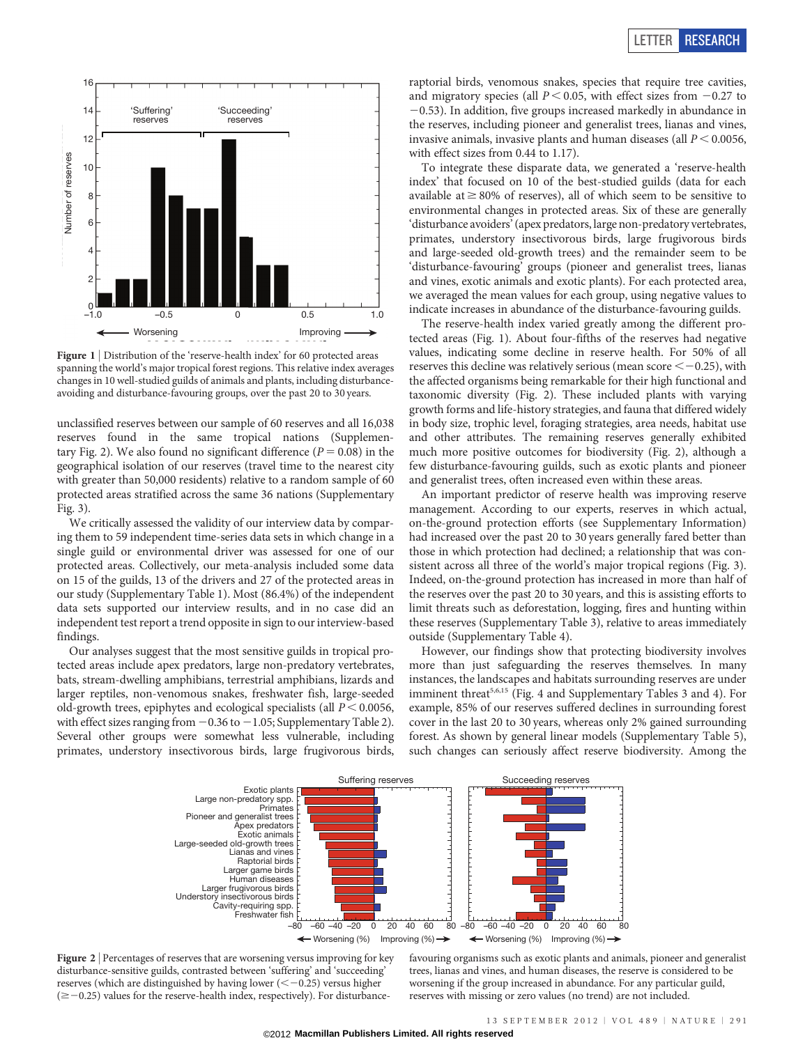

Figure 1 | Distribution of the 'reserve-health index' for 60 protected areas spanning the world's major tropical forest regions. This relative index averages changes in 10 well-studied guilds of animals and plants, including disturbanceavoiding and disturbance-favouring groups, over the past 20 to 30 years.

unclassified reserves between our sample of 60 reserves and all 16,038 reserves found in the same tropical nations (Supplementary Fig. 2). We also found no significant difference ( $P = 0.08$ ) in the geographical isolation of our reserves (travel time to the nearest city with greater than 50,000 residents) relative to a random sample of 60 protected areas stratified across the same 36 nations (Supplementary Fig. 3).

We critically assessed the validity of our interview data by comparing them to 59 independent time-series data sets in which change in a single guild or environmental driver was assessed for one of our protected areas. Collectively, our meta-analysis included some data on 15 of the guilds, 13 of the drivers and 27 of the protected areas in our study (Supplementary Table 1). Most (86.4%) of the independent data sets supported our interview results, and in no case did an independent test report a trend opposite in sign to our interview-based findings.

Our analyses suggest that the most sensitive guilds in tropical protected areas include apex predators, large non-predatory vertebrates, bats, stream-dwelling amphibians, terrestrial amphibians, lizards and larger reptiles, non-venomous snakes, freshwater fish, large-seeded old-growth trees, epiphytes and ecological specialists (all  $P < 0.0056$ , with effect sizes ranging from  $-0.36$  to  $-1.05$ ; Supplementary Table 2). Several other groups were somewhat less vulnerable, including primates, understory insectivorous birds, large frugivorous birds,

raptorial birds, venomous snakes, species that require tree cavities, and migratory species (all  $P < 0.05$ , with effect sizes from  $-0.27$  to  $-0.53$ ). In addition, five groups increased markedly in abundance in the reserves, including pioneer and generalist trees, lianas and vines, invasive animals, invasive plants and human diseases (all  $P < 0.0056$ , with effect sizes from 0.44 to 1.17).

To integrate these disparate data, we generated a 'reserve-health index' that focused on 10 of the best-studied guilds (data for each available at  $\geq$  80% of reserves), all of which seem to be sensitive to environmental changes in protected areas. Six of these are generally 'disturbance avoiders' (apex predators, large non-predatory vertebrates, primates, understory insectivorous birds, large frugivorous birds and large-seeded old-growth trees) and the remainder seem to be 'disturbance-favouring' groups (pioneer and generalist trees, lianas and vines, exotic animals and exotic plants). For each protected area, we averaged the mean values for each group, using negative values to indicate increases in abundance of the disturbance-favouring guilds.

The reserve-health index varied greatly among the different protected areas (Fig. 1). About four-fifths of the reserves had negative values, indicating some decline in reserve health. For 50% of all reserves this decline was relatively serious (mean score  $<-0.25$ ), with the affected organisms being remarkable for their high functional and taxonomic diversity (Fig. 2). These included plants with varying growth forms and life-history strategies, and fauna that differed widely in body size, trophic level, foraging strategies, area needs, habitat use and other attributes. The remaining reserves generally exhibited much more positive outcomes for biodiversity (Fig. 2), although a few disturbance-favouring guilds, such as exotic plants and pioneer and generalist trees, often increased even within these areas.

An important predictor of reserve health was improving reserve management. According to our experts, reserves in which actual, on-the-ground protection efforts (see Supplementary Information) had increased over the past 20 to 30 years generally fared better than those in which protection had declined; a relationship that was consistent across all three of the world's major tropical regions (Fig. 3). Indeed, on-the-ground protection has increased in more than half of the reserves over the past 20 to 30 years, and this is assisting efforts to limit threats such as deforestation, logging, fires and hunting within these reserves (Supplementary Table 3), relative to areas immediately outside (Supplementary Table 4).

However, our findings show that protecting biodiversity involves more than just safeguarding the reserves themselves. In many instances, the landscapes and habitats surrounding reserves are under imminent threat<sup>5,6,15</sup> (Fig. 4 and Supplementary Tables 3 and 4). For example, 85% of our reserves suffered declines in surrounding forest cover in the last 20 to 30 years, whereas only 2% gained surrounding forest. As shown by general linear models (Supplementary Table 5), such changes can seriously affect reserve biodiversity. Among the



Figure 2 | Percentages of reserves that are worsening versus improving for key disturbance-sensitive guilds, contrasted between 'suffering' and 'succeeding' reserves (which are distinguished by having lower  $(< -0.25)$  versus higher  $(\geq -0.25)$  values for the reserve-health index, respectively). For disturbance-

favouring organisms such as exotic plants and animals, pioneer and generalist trees, lianas and vines, and human diseases, the reserve is considered to be worsening if the group increased in abundance. For any particular guild, reserves with missing or zero values (no trend) are not included.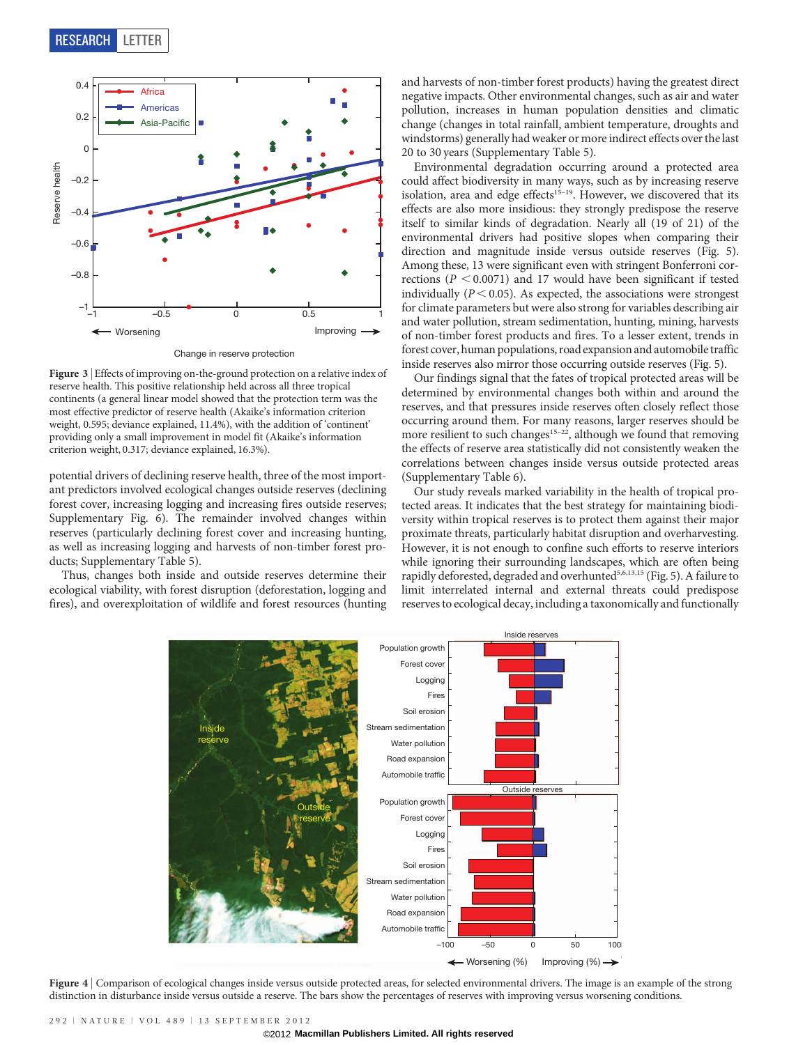

Change in reserve protection

Figure 3 | Effects of improving on-the-ground protection on a relative index of reserve health. This positive relationship held across all three tropical continents (a general linear model showed that the protection term was the most effective predictor of reserve health (Akaike's information criterion weight, 0.595; deviance explained, 11.4%), with the addition of 'continent' providing only a small improvement in model fit (Akaike's information criterion weight, 0.317; deviance explained, 16.3%).

potential drivers of declining reserve health, three of the most important predictors involved ecological changes outside reserves (declining forest cover, increasing logging and increasing fires outside reserves; Supplementary Fig. 6). The remainder involved changes within reserves (particularly declining forest cover and increasing hunting, as well as increasing logging and harvests of non-timber forest products; Supplementary Table 5).

Thus, changes both inside and outside reserves determine their ecological viability, with forest disruption (deforestation, logging and fires), and overexploitation of wildlife and forest resources (hunting and harvests of non-timber forest products) having the greatest direct negative impacts. Other environmental changes, such as air and water pollution, increases in human population densities and climatic change (changes in total rainfall, ambient temperature, droughts and windstorms) generally had weaker or more indirect effects over the last 20 to 30 years (Supplementary Table 5).

Environmental degradation occurring around a protected area could affect biodiversity in many ways, such as by increasing reserve isolation, area and edge effects<sup>15–19</sup>. However, we discovered that its effects are also more insidious: they strongly predispose the reserve itself to similar kinds of degradation. Nearly all (19 of 21) of the environmental drivers had positive slopes when comparing their direction and magnitude inside versus outside reserves (Fig. 5). Among these, 13 were significant even with stringent Bonferroni corrections ( $P < 0.0071$ ) and 17 would have been significant if tested individually ( $P < 0.05$ ). As expected, the associations were strongest for climate parameters but were also strong for variables describing air and water pollution, stream sedimentation, hunting, mining, harvests of non-timber forest products and fires. To a lesser extent, trends in forest cover, human populations, road expansion and automobile traffic inside reserves also mirror those occurring outside reserves (Fig. 5).

Our findings signal that the fates of tropical protected areas will be determined by environmental changes both within and around the reserves, and that pressures inside reserves often closely reflect those occurring around them. For many reasons, larger reserves should be more resilient to such changes<sup>15–22</sup>, although we found that removing the effects of reserve area statistically did not consistently weaken the correlations between changes inside versus outside protected areas (Supplementary Table 6).

Our study reveals marked variability in the health of tropical protected areas. It indicates that the best strategy for maintaining biodiversity within tropical reserves is to protect them against their major proximate threats, particularly habitat disruption and overharvesting. However, it is not enough to confine such efforts to reserve interiors while ignoring their surrounding landscapes, which are often being rapidly deforested, degraded and overhunted<sup>5,6,13,15</sup> (Fig. 5). A failure to limit interrelated internal and external threats could predispose reserves to ecological decay, including a taxonomically and functionally



Figure 4 | Comparison of ecological changes inside versus outside protected areas, for selected environmental drivers. The image is an example of the strong distinction in disturbance inside versus outside a reserve. The bars show the percentages of reserves with improving versus worsening conditions.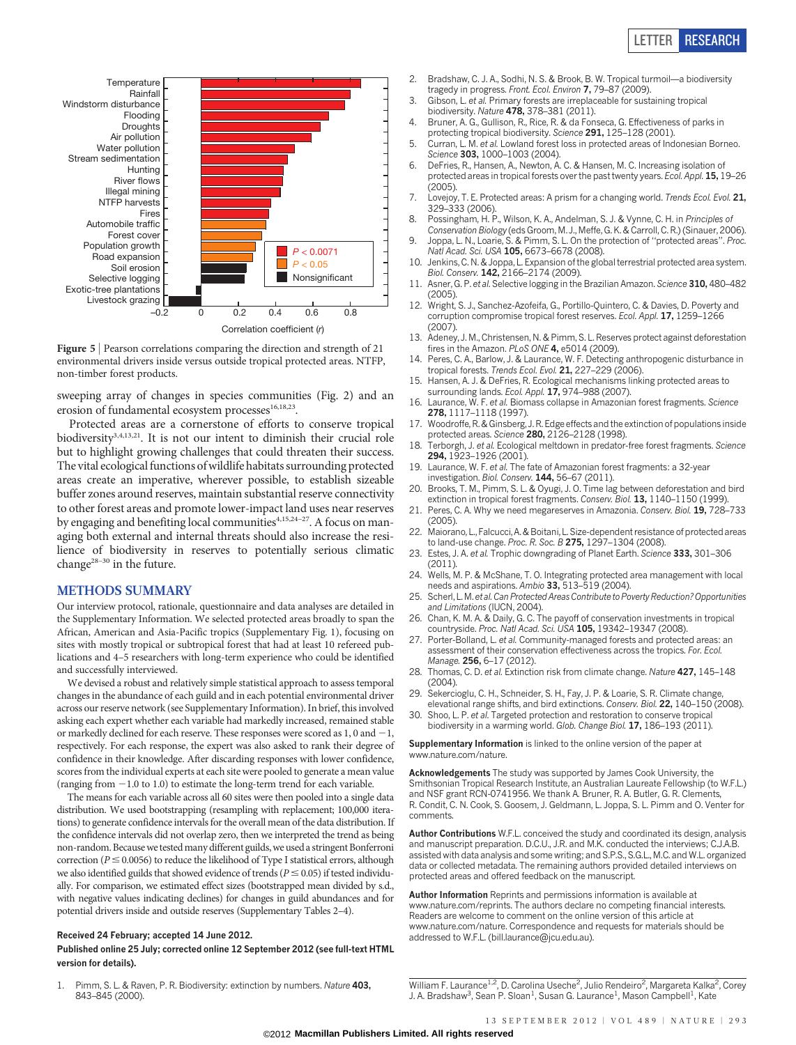# LETTER RESEARCH



Figure 5 | Pearson correlations comparing the direction and strength of 21 environmental drivers inside versus outside tropical protected areas. NTFP, non-timber forest products.

sweeping array of changes in species communities (Fig. 2) and an erosion of fundamental ecosystem processes<sup>16,18,23</sup>.

Protected areas are a cornerstone of efforts to conserve tropical biodiversity<sup>3,4,13,21</sup>. It is not our intent to diminish their crucial role but to highlight growing challenges that could threaten their success. The vital ecological functions of wildlife habitats surrounding protected areas create an imperative, wherever possible, to establish sizeable buffer zones around reserves, maintain substantial reserve connectivity to other forest areas and promote lower-impact land uses near reserves by engaging and benefiting local communities<sup>4,15,24-27</sup>. A focus on managing both external and internal threats should also increase the resilience of biodiversity in reserves to potentially serious climatic change28–30 in the future.

## METHODS SUMMARY

Our interview protocol, rationale, questionnaire and data analyses are detailed in the Supplementary Information. We selected protected areas broadly to span the African, American and Asia-Pacific tropics (Supplementary Fig. 1), focusing on sites with mostly tropical or subtropical forest that had at least 10 refereed publications and 4–5 researchers with long-term experience who could be identified and successfully interviewed.

We devised a robust and relatively simple statistical approach to assess temporal changes in the abundance of each guild and in each potential environmental driver across our reserve network (see Supplementary Information). In brief, this involved asking each expert whether each variable had markedly increased, remained stable or markedly declined for each reserve. These responses were scored as  $1, 0$  and  $-1$ , respectively. For each response, the expert was also asked to rank their degree of confidence in their knowledge. After discarding responses with lower confidence, scores from the individual experts at each site were pooled to generate a mean value (ranging from  $-1.0$  to 1.0) to estimate the long-term trend for each variable.

The means for each variable across all 60 sites were then pooled into a single data distribution. We used bootstrapping (resampling with replacement; 100,000 iterations) to generate confidence intervals for the overall mean of the data distribution. If the confidence intervals did not overlap zero, then we interpreted the trend as being non-random. Because we tested many different guilds, we used a stringent Bonferroni correction ( $P \le 0.0056$ ) to reduce the likelihood of Type I statistical errors, although we also identified guilds that showed evidence of trends ( $P \le 0.05$ ) if tested individually. For comparison, we estimated effect sizes (bootstrapped mean divided by s.d., with negative values indicating declines) for changes in guild abundances and for potential drivers inside and outside reserves (Supplementary Tables 2–4).

#### Received 24 February; accepted 14 June 2012.

### Published online 25 July; corrected online 12 September 2012 (see full-text HTML version for details).

1. Pimm, S. L. & Raven, P. R. Biodiversity: extinction by numbers. Nature 403, 843–845 (2000).

- 2. Bradshaw, C. J. A., Sodhi, N. S. & Brook, B. W. Tropical turmoil—a biodiversity tragedy in progress. Front. Ecol. Environ 7, 79–87 (2009).
- 3. Gibson, L. et al. Primary forests are irreplaceable for sustaining tropical biodiversity. Nature 478, 378–381 (2011).
- 4. Bruner, A. G., Gullison, R., Rice, R. & da Fonseca, G. Effectiveness of parks in protecting tropical biodiversity. Science 291, 125–128 (2001).
- 5. Curran, L. M. et al. Lowland forest loss in protected areas of Indonesian Borneo. Science 303, 1000-1003 (2004).
- 6. DeFries, R., Hansen, A., Newton, A. C. & Hansen, M. C. Increasing isolation of protected areas in tropical forests over the past twenty years. Ecol. Appl. 15, 19–26  $(2005)$
- 7. Lovejoy, T. E. Protected areas: A prism for a changing world. Trends Ecol. Evol. 21, 329–333 (2006).
- 8. Possingham, H. P., Wilson, K. A., Andelman, S. J. & Vynne, C. H. in Principles of Conservation Biology (eds Groom, M. J., Meffe, G. K. & Carroll, C. R.) (Sinauer, 2006).
- 9. Joppa, L. N., Loarie, S. & Pimm, S. L. On the protection of ''protected areas''. Proc. Natl Acad. Sci. USA 105, 6673–6678 (2008).
- 10. Jenkins, C. N. & Joppa, L. Expansion of the global terrestrial protected area system. Biol. Conserv. 142, 2166–2174 (2009).
- 11. Asner, G. P. et al. Selective logging in the Brazilian Amazon. Science 310, 480-482 (2005).
- 12. Wright, S. J., Sanchez-Azofeifa, G., Portillo-Quintero, C. & Davies, D. Poverty and corruption compromise tropical forest reserves. Ecol. Appl. 17, 1259-1266  $(2007)$
- 13. Adeney, J. M., Christensen, N. & Pimm, S. L. Reserves protect against deforestation fires in the Amazon. PLoS ONE 4, e5014 (2009).
- 14. Peres, C. A., Barlow, J. & Laurance, W. F. Detecting anthropogenic disturbance in tropical forests. Trends Ecol. Evol. 21, 227-229 (2006).
- 15. Hansen, A. J. & DeFries, R. Ecological mechanisms linking protected areas to surrounding lands. Ecol. Appl. 17, 974-988 (2007).
- 16. Laurance, W. F. et al. Biomass collapse in Amazonian forest fragments. Science 278, 1117–1118 (1997).
- 17. Woodroffe, R. & Ginsberg, J. R. Edge effects and the extinction of populations inside protected areas. Science 280, 2126–2128 (1998).
- 18. Terborgh, J. et al. Ecological meltdown in predator-free forest fragments. Science 294, 1923–1926 (2001).
- 19. Laurance, W. F. et al. The fate of Amazonian forest fragments: a 32-year investigation. Biol. Conserv. 144, 56-67 (2011).
- 20. Brooks, T. M., Pimm, S. L. & Oyugi, J. O. Time lag between deforestation and bird extinction in tropical forest fragments. Conserv. Biol. 13, 1140-1150 (1999).
- 21. Peres, C. A. Why we need megareserves in Amazonia. Conserv. Biol. 19, 728-733  $(2005)$
- 22. Maiorano, L., Falcucci, A. & Boitani, L. Size-dependent resistance of protected areas to land-use change. Proc. R. Soc. B 275, 1297-1304 (2008).
- 23. Estes, J. A. et al. Trophic downgrading of Planet Earth. Science 333, 301-306  $(2011)$
- 24. Wells, M. P. & McShane, T. O. Integrating protected area management with local needs and aspirations. Ambio 33, 513–519 (2004).
- 25. Scherl, L.M. et al. Can Protected Areas Contribute to Poverty Reduction? Opportunities and Limitations (IUCN, 2004).
- 26. Chan, K. M. A. & Daily, G. C. The payoff of conservation investments in tropical countryside. Proc. Natl Acad. Sci. USA 105, 19342–19347 (2008).
- 27. Porter-Bolland, L. et al. Community-managed forests and protected areas: an assessment of their conservation effectiveness across the tropics. For. Ecol. Manage. 256, 6–17 (2012).
- 28. Thomas, C. D. et al. Extinction risk from climate change. Nature 427, 145-148 (2004).
- 29. Sekercioglu, C. H., Schneider, S. H., Fay, J. P. & Loarie, S. R. Climate change, elevational range shifts, and bird extinctions. Conserv. Biol. 22, 140–150 (2008).
- 30. Shoo, L. P. et al. Targeted protection and restoration to conserve tropical biodiversity in a warming world. Glob. Change Biol. 17, 186–193 (2011).

Supplementary Information is linked to the online version of the paper at <www.nature.com/nature>.

Acknowledgements The study was supported by James Cook University, the Smithsonian Tropical Research Institute, an Australian Laureate Fellowship (to W.F.L.) and NSF grant RCN-0741956. We thank A. Bruner, R. A. Butler, G. R. Clements, R. Condit, C. N. Cook, S. Goosem, J. Geldmann, L. Joppa, S. L. Pimm and O. Venter for comments.

Author Contributions W.F.L. conceived the study and coordinated its design, analysis and manuscript preparation. D.C.U., J.R. and M.K. conducted the interviews; C.J.A.B. assisted with data analysis and some writing; and S.P.S., S.G.L., M.C. and W.L. organized data or collected metadata. The remaining authors provided detailed interviews on protected areas and offered feedback on the manuscript.

Author Information Reprints and permissions information is available at <www.nature.com/reprints>. The authors declare no competing financial interests. Readers are welcome to comment on the online version of this article at <www.nature.com/nature>. Correspondence and requests for materials should be addressed to W.F.L. [\(bill.laurance@jcu.edu.au\)](mailto:bill.laurance@jcu.edu.au).

William F. Laurance<sup>1,2</sup>, D. Carolina Useche<sup>2</sup>, Julio Rendeiro<sup>2</sup>, Margareta Kalka<sup>2</sup>, Corey J. A. Bradshaw<sup>3</sup>, Sean P. Sloan<sup>1</sup>, Susan G. Laurance<sup>1</sup>, Mason Campbell<sup>1</sup>, Kate